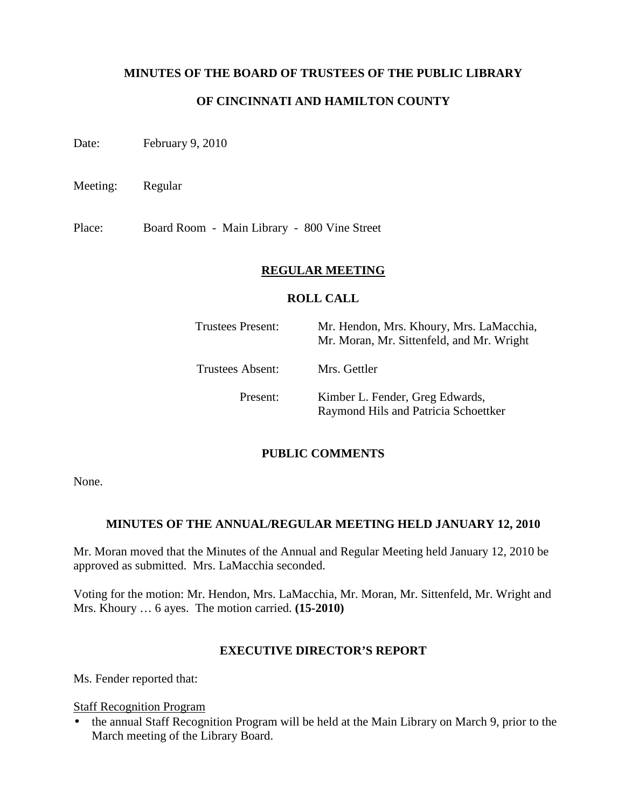### **MINUTES OF THE BOARD OF TRUSTEES OF THE PUBLIC LIBRARY**

## **OF CINCINNATI AND HAMILTON COUNTY**

Date: February 9, 2010

Meeting: Regular

Place: Board Room - Main Library - 800 Vine Street

#### **REGULAR MEETING**

#### **ROLL CALL**

| Trustees Present: | Mr. Hendon, Mrs. Khoury, Mrs. LaMacchia,<br>Mr. Moran, Mr. Sittenfeld, and Mr. Wright |
|-------------------|---------------------------------------------------------------------------------------|
| Trustees Absent:  | Mrs. Gettler                                                                          |
| Present:          | Kimber L. Fender, Greg Edwards,<br>Raymond Hils and Patricia Schoettker               |

#### **PUBLIC COMMENTS**

None.

#### **MINUTES OF THE ANNUAL/REGULAR MEETING HELD JANUARY 12, 2010**

Mr. Moran moved that the Minutes of the Annual and Regular Meeting held January 12, 2010 be approved as submitted. Mrs. LaMacchia seconded.

Voting for the motion: Mr. Hendon, Mrs. LaMacchia, Mr. Moran, Mr. Sittenfeld, Mr. Wright and Mrs. Khoury … 6 ayes. The motion carried. **(15-2010)**

#### **EXECUTIVE DIRECTOR'S REPORT**

Ms. Fender reported that:

Staff Recognition Program

• the annual Staff Recognition Program will be held at the Main Library on March 9, prior to the March meeting of the Library Board.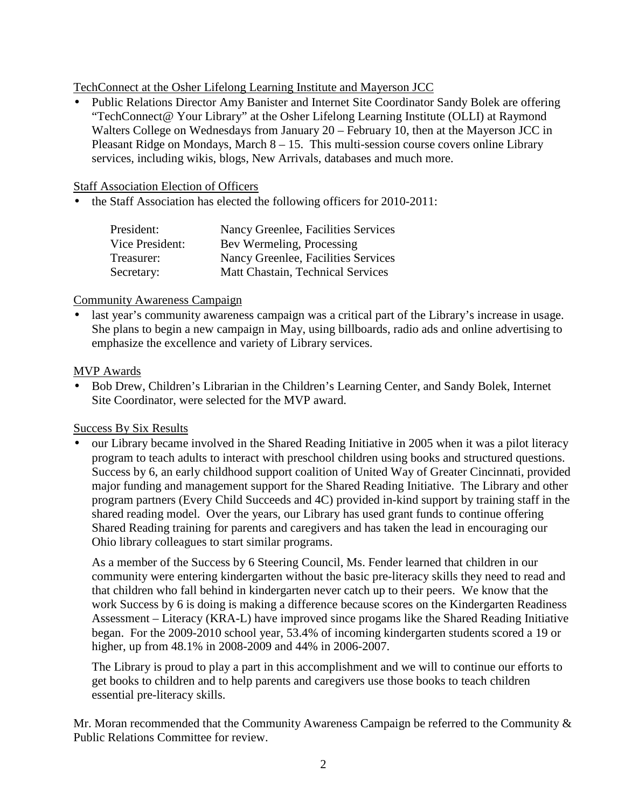## TechConnect at the Osher Lifelong Learning Institute and Mayerson JCC

• Public Relations Director Amy Banister and Internet Site Coordinator Sandy Bolek are offering "TechConnect@ Your Library" at the Osher Lifelong Learning Institute (OLLI) at Raymond Walters College on Wednesdays from January 20 – February 10, then at the Mayerson JCC in Pleasant Ridge on Mondays, March 8 – 15. This multi-session course covers online Library services, including wikis, blogs, New Arrivals, databases and much more.

## Staff Association Election of Officers

• the Staff Association has elected the following officers for 2010-2011:

| President:      | Nancy Greenlee, Facilities Services |
|-----------------|-------------------------------------|
| Vice President: | Bev Wermeling, Processing           |
| Treasurer:      | Nancy Greenlee, Facilities Services |
| Secretary:      | Matt Chastain, Technical Services   |

## Community Awareness Campaign

last year's community awareness campaign was a critical part of the Library's increase in usage. She plans to begin a new campaign in May, using billboards, radio ads and online advertising to emphasize the excellence and variety of Library services.

## MVP Awards

• Bob Drew, Children's Librarian in the Children's Learning Center, and Sandy Bolek, Internet Site Coordinator, were selected for the MVP award.

# Success By Six Results

• our Library became involved in the Shared Reading Initiative in 2005 when it was a pilot literacy program to teach adults to interact with preschool children using books and structured questions. Success by 6, an early childhood support coalition of United Way of Greater Cincinnati, provided major funding and management support for the Shared Reading Initiative. The Library and other program partners (Every Child Succeeds and 4C) provided in-kind support by training staff in the shared reading model. Over the years, our Library has used grant funds to continue offering Shared Reading training for parents and caregivers and has taken the lead in encouraging our Ohio library colleagues to start similar programs.

As a member of the Success by 6 Steering Council, Ms. Fender learned that children in our community were entering kindergarten without the basic pre-literacy skills they need to read and that children who fall behind in kindergarten never catch up to their peers. We know that the work Success by 6 is doing is making a difference because scores on the Kindergarten Readiness Assessment – Literacy (KRA-L) have improved since progams like the Shared Reading Initiative began. For the 2009-2010 school year, 53.4% of incoming kindergarten students scored a 19 or higher, up from 48.1% in 2008-2009 and 44% in 2006-2007.

The Library is proud to play a part in this accomplishment and we will to continue our efforts to get books to children and to help parents and caregivers use those books to teach children essential pre-literacy skills.

Mr. Moran recommended that the Community Awareness Campaign be referred to the Community & Public Relations Committee for review.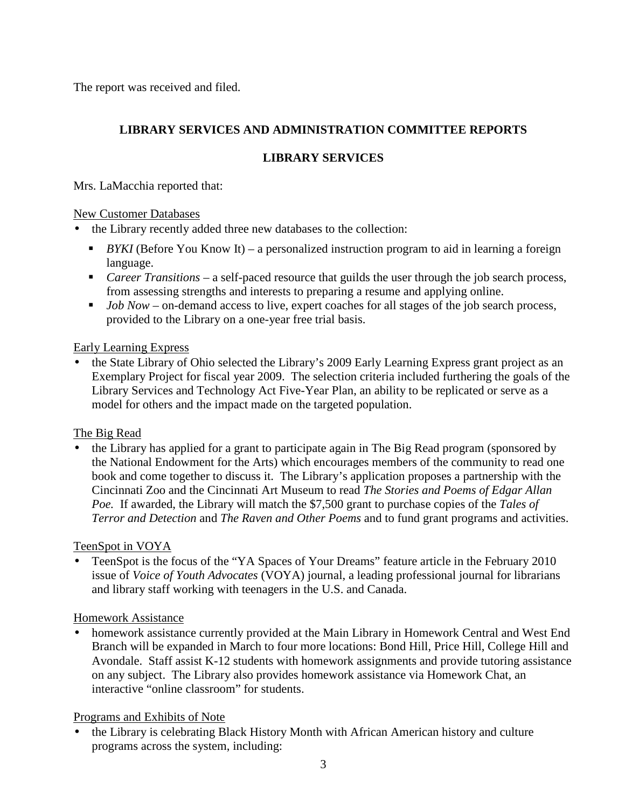The report was received and filed.

# **LIBRARY SERVICES AND ADMINISTRATION COMMITTEE REPORTS**

# **LIBRARY SERVICES**

Mrs. LaMacchia reported that:

## New Customer Databases

- the Library recently added three new databases to the collection:
	- **BYKI** (Before You Know It) a personalized instruction program to aid in learning a foreign language.
	- *Career Transitions* a self-paced resource that guilds the user through the job search process, from assessing strengths and interests to preparing a resume and applying online.
	- *Job Now* on-demand access to live, expert coaches for all stages of the job search process, provided to the Library on a one-year free trial basis.

## Early Learning Express

• the State Library of Ohio selected the Library's 2009 Early Learning Express grant project as an Exemplary Project for fiscal year 2009. The selection criteria included furthering the goals of the Library Services and Technology Act Five-Year Plan, an ability to be replicated or serve as a model for others and the impact made on the targeted population.

# The Big Read

• the Library has applied for a grant to participate again in The Big Read program (sponsored by the National Endowment for the Arts) which encourages members of the community to read one book and come together to discuss it. The Library's application proposes a partnership with the Cincinnati Zoo and the Cincinnati Art Museum to read *The Stories and Poems of Edgar Allan Poe.* If awarded, the Library will match the \$7,500 grant to purchase copies of the *Tales of Terror and Detection* and *The Raven and Other Poems* and to fund grant programs and activities.

## TeenSpot in VOYA

• TeenSpot is the focus of the "YA Spaces of Your Dreams" feature article in the February 2010 issue of *Voice of Youth Advocates* (VOYA) journal, a leading professional journal for librarians and library staff working with teenagers in the U.S. and Canada.

## Homework Assistance

• homework assistance currently provided at the Main Library in Homework Central and West End Branch will be expanded in March to four more locations: Bond Hill, Price Hill, College Hill and Avondale. Staff assist K-12 students with homework assignments and provide tutoring assistance on any subject. The Library also provides homework assistance via Homework Chat, an interactive "online classroom" for students.

# Programs and Exhibits of Note

• the Library is celebrating Black History Month with African American history and culture programs across the system, including: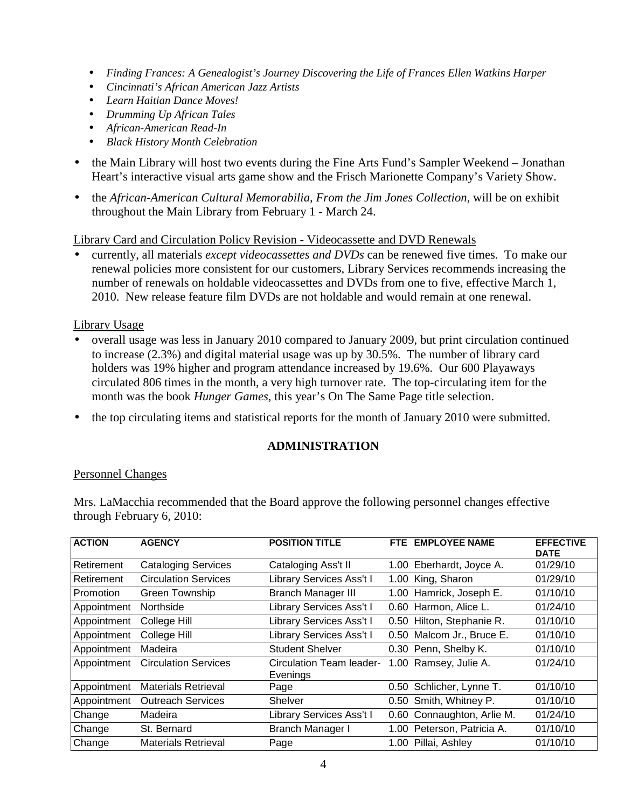- *Finding Frances: A Genealogist's Journey Discovering the Life of Frances Ellen Watkins Harper*
- *Cincinnati's African American Jazz Artists*
- *Learn Haitian Dance Moves!*
- *Drumming Up African Tales*
- *African-American Read-In*
- *Black History Month Celebration*
- the Main Library will host two events during the Fine Arts Fund's Sampler Weekend Jonathan Heart's interactive visual arts game show and the Frisch Marionette Company's Variety Show.
- the *African-American Cultural Memorabilia, From the Jim Jones Collection,* will be on exhibit throughout the Main Library from February 1 - March 24.

#### Library Card and Circulation Policy Revision - Videocassette and DVD Renewals

• currently, all materials *except videocassettes and DVDs* can be renewed five times. To make our renewal policies more consistent for our customers, Library Services recommends increasing the number of renewals on holdable videocassettes and DVDs from one to five, effective March 1, 2010. New release feature film DVDs are not holdable and would remain at one renewal.

#### Library Usage

- overall usage was less in January 2010 compared to January 2009, but print circulation continued to increase (2.3%) and digital material usage was up by 30.5%. The number of library card holders was 19% higher and program attendance increased by 19.6%. Our 600 Playaways circulated 806 times in the month, a very high turnover rate. The top-circulating item for the month was the book *Hunger Games*, this year's On The Same Page title selection.
- the top circulating items and statistical reports for the month of January 2010 were submitted.

### **ADMINISTRATION**

#### Personnel Changes

Mrs. LaMacchia recommended that the Board approve the following personnel changes effective through February 6, 2010:

| <b>ACTION</b> | <b>AGENCY</b>               | <b>POSITION TITLE</b>                | <b>FTE</b> | <b>EMPLOYEE NAME</b>  | <b>EFFECTIVE</b><br><b>DATE</b> |
|---------------|-----------------------------|--------------------------------------|------------|-----------------------|---------------------------------|
| Retirement    | <b>Cataloging Services</b>  | Cataloging Ass't II                  | 1.00       | Eberhardt, Joyce A.   | 01/29/10                        |
| Retirement    | <b>Circulation Services</b> | Library Services Ass't I             | 1.00       | King, Sharon          | 01/29/10                        |
| Promotion     | <b>Green Township</b>       | <b>Branch Manager III</b>            | 1.00       | Hamrick, Joseph E.    | 01/10/10                        |
| Appointment   | Northside                   | Library Services Ass't I             | 0.60       | Harmon, Alice L.      | 01/24/10                        |
| Appointment   | College Hill                | Library Services Ass't I             | 0.50       | Hilton, Stephanie R.  | 01/10/10                        |
| Appointment   | College Hill                | Library Services Ass't I             | 0.50       | Malcom Jr., Bruce E.  | 01/10/10                        |
| Appointment   | Madeira                     | <b>Student Shelver</b>               |            | 0.30 Penn, Shelby K.  | 01/10/10                        |
| Appointment   | <b>Circulation Services</b> | Circulation Team leader-<br>Evenings |            | 1.00 Ramsey, Julie A. | 01/24/10                        |
| Appointment   | <b>Materials Retrieval</b>  | Page                                 | 0.50       | Schlicher, Lynne T.   | 01/10/10                        |
| Appointment   | <b>Outreach Services</b>    | Shelver                              | 0.50       | Smith, Whitney P.     | 01/10/10                        |
| Change        | Madeira                     | Library Services Ass't I             | 0.60       | Connaughton, Arlie M. | 01/24/10                        |
| Change        | St. Bernard                 | Branch Manager I                     | 1.00       | Peterson, Patricia A. | 01/10/10                        |
| Change        | <b>Materials Retrieval</b>  | Page                                 | 1.00       | Pillai, Ashley        | 01/10/10                        |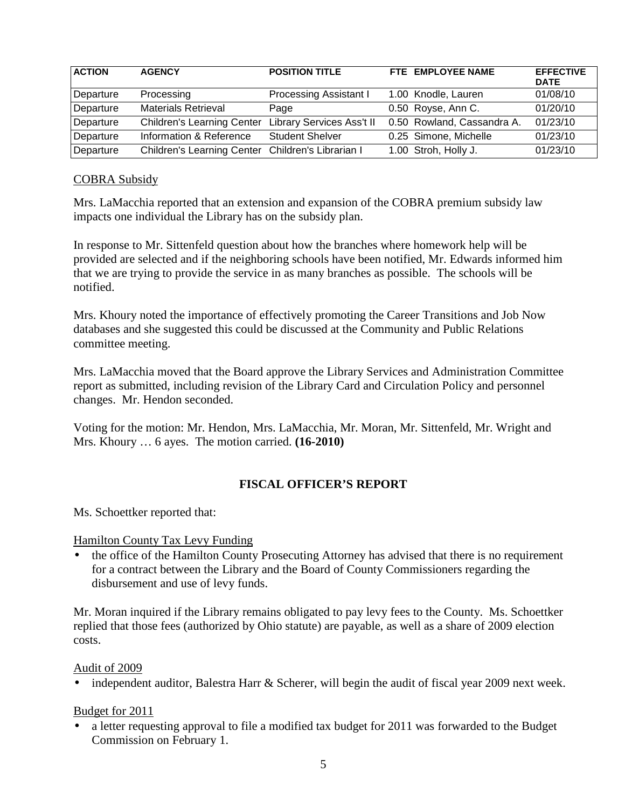| <b>ACTION</b> | <b>AGENCY</b>                                     | <b>POSITION TITLE</b>         | FTE EMPLOYEE NAME          | <b>EFFECTIVE</b><br><b>DATE</b> |
|---------------|---------------------------------------------------|-------------------------------|----------------------------|---------------------------------|
| Departure     | Processing                                        | <b>Processing Assistant I</b> | 1.00 Knodle, Lauren        | 01/08/10                        |
| Departure     | <b>Materials Retrieval</b>                        | Page                          | 0.50 Royse, Ann C.         | 01/20/10                        |
| Departure     | <b>Children's Learning Center</b>                 | Library Services Ass't II     | 0.50 Rowland, Cassandra A. | 01/23/10                        |
| Departure     | Information & Reference                           | <b>Student Shelver</b>        | 0.25 Simone, Michelle      | 01/23/10                        |
| Departure     | Children's Learning Center Children's Librarian I |                               | 1.00 Stroh, Holly J.       | 01/23/10                        |

### COBRA Subsidy

Mrs. LaMacchia reported that an extension and expansion of the COBRA premium subsidy law impacts one individual the Library has on the subsidy plan.

In response to Mr. Sittenfeld question about how the branches where homework help will be provided are selected and if the neighboring schools have been notified, Mr. Edwards informed him that we are trying to provide the service in as many branches as possible. The schools will be notified.

Mrs. Khoury noted the importance of effectively promoting the Career Transitions and Job Now databases and she suggested this could be discussed at the Community and Public Relations committee meeting.

Mrs. LaMacchia moved that the Board approve the Library Services and Administration Committee report as submitted, including revision of the Library Card and Circulation Policy and personnel changes. Mr. Hendon seconded.

Voting for the motion: Mr. Hendon, Mrs. LaMacchia, Mr. Moran, Mr. Sittenfeld, Mr. Wright and Mrs. Khoury … 6 ayes. The motion carried. **(16-2010)**

## **FISCAL OFFICER'S REPORT**

Ms. Schoettker reported that:

#### Hamilton County Tax Levy Funding

• the office of the Hamilton County Prosecuting Attorney has advised that there is no requirement for a contract between the Library and the Board of County Commissioners regarding the disbursement and use of levy funds.

Mr. Moran inquired if the Library remains obligated to pay levy fees to the County. Ms. Schoettker replied that those fees (authorized by Ohio statute) are payable, as well as a share of 2009 election costs.

#### Audit of 2009

• independent auditor, Balestra Harr & Scherer, will begin the audit of fiscal year 2009 next week.

#### Budget for 2011

• a letter requesting approval to file a modified tax budget for 2011 was forwarded to the Budget Commission on February 1.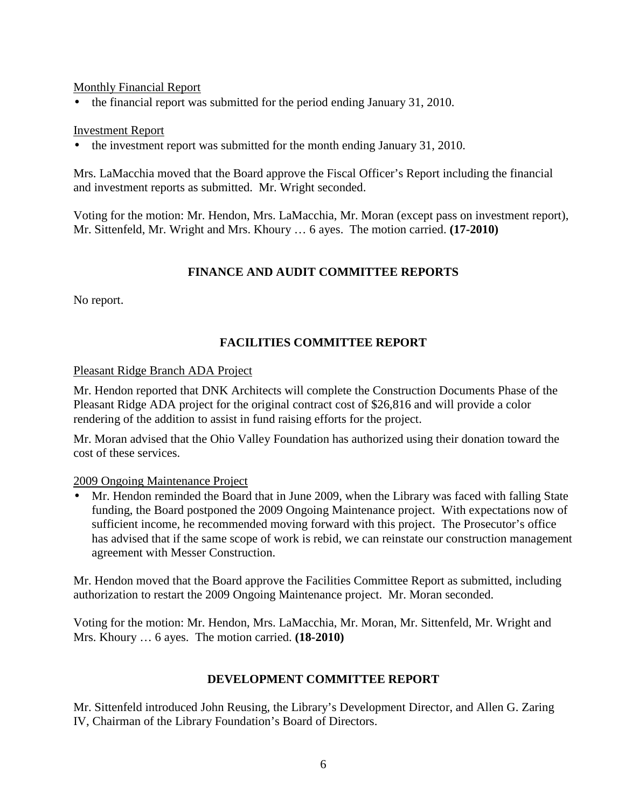### Monthly Financial Report

• the financial report was submitted for the period ending January 31, 2010.

### Investment Report

• the investment report was submitted for the month ending January 31, 2010.

Mrs. LaMacchia moved that the Board approve the Fiscal Officer's Report including the financial and investment reports as submitted. Mr. Wright seconded.

Voting for the motion: Mr. Hendon, Mrs. LaMacchia, Mr. Moran (except pass on investment report), Mr. Sittenfeld, Mr. Wright and Mrs. Khoury … 6 ayes. The motion carried. **(17-2010)**

## **FINANCE AND AUDIT COMMITTEE REPORTS**

No report.

# **FACILITIES COMMITTEE REPORT**

### Pleasant Ridge Branch ADA Project

Mr. Hendon reported that DNK Architects will complete the Construction Documents Phase of the Pleasant Ridge ADA project for the original contract cost of \$26,816 and will provide a color rendering of the addition to assist in fund raising efforts for the project.

Mr. Moran advised that the Ohio Valley Foundation has authorized using their donation toward the cost of these services.

2009 Ongoing Maintenance Project

• Mr. Hendon reminded the Board that in June 2009, when the Library was faced with falling State funding, the Board postponed the 2009 Ongoing Maintenance project. With expectations now of sufficient income, he recommended moving forward with this project. The Prosecutor's office has advised that if the same scope of work is rebid, we can reinstate our construction management agreement with Messer Construction.

Mr. Hendon moved that the Board approve the Facilities Committee Report as submitted, including authorization to restart the 2009 Ongoing Maintenance project. Mr. Moran seconded.

Voting for the motion: Mr. Hendon, Mrs. LaMacchia, Mr. Moran, Mr. Sittenfeld, Mr. Wright and Mrs. Khoury … 6 ayes. The motion carried. **(18-2010)**

## **DEVELOPMENT COMMITTEE REPORT**

Mr. Sittenfeld introduced John Reusing, the Library's Development Director, and Allen G. Zaring IV, Chairman of the Library Foundation's Board of Directors.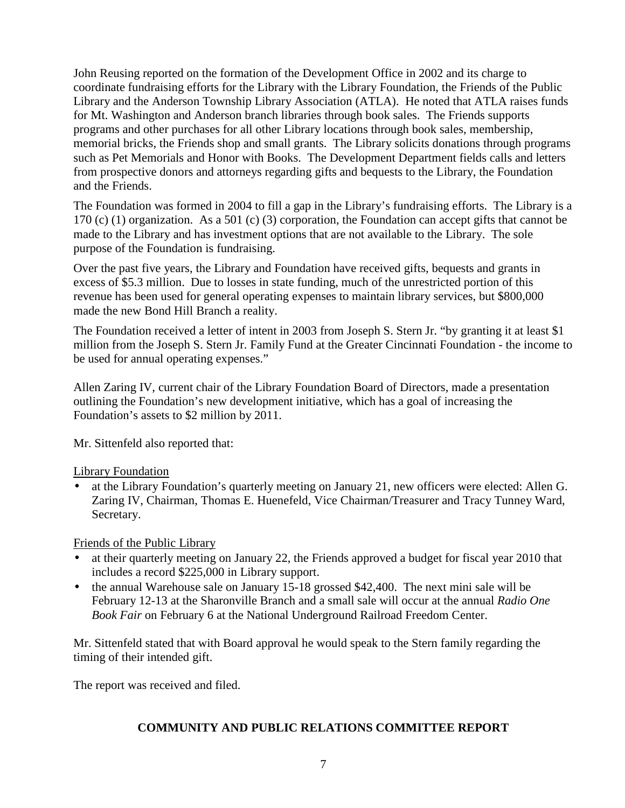John Reusing reported on the formation of the Development Office in 2002 and its charge to coordinate fundraising efforts for the Library with the Library Foundation, the Friends of the Public Library and the Anderson Township Library Association (ATLA). He noted that ATLA raises funds for Mt. Washington and Anderson branch libraries through book sales. The Friends supports programs and other purchases for all other Library locations through book sales, membership, memorial bricks, the Friends shop and small grants. The Library solicits donations through programs such as Pet Memorials and Honor with Books. The Development Department fields calls and letters from prospective donors and attorneys regarding gifts and bequests to the Library, the Foundation and the Friends.

The Foundation was formed in 2004 to fill a gap in the Library's fundraising efforts. The Library is a 170 (c) (1) organization. As a 501 (c) (3) corporation, the Foundation can accept gifts that cannot be made to the Library and has investment options that are not available to the Library. The sole purpose of the Foundation is fundraising.

Over the past five years, the Library and Foundation have received gifts, bequests and grants in excess of \$5.3 million. Due to losses in state funding, much of the unrestricted portion of this revenue has been used for general operating expenses to maintain library services, but \$800,000 made the new Bond Hill Branch a reality.

The Foundation received a letter of intent in 2003 from Joseph S. Stern Jr. "by granting it at least \$1 million from the Joseph S. Stern Jr. Family Fund at the Greater Cincinnati Foundation - the income to be used for annual operating expenses."

Allen Zaring IV, current chair of the Library Foundation Board of Directors, made a presentation outlining the Foundation's new development initiative, which has a goal of increasing the Foundation's assets to \$2 million by 2011.

Mr. Sittenfeld also reported that:

Library Foundation

• at the Library Foundation's quarterly meeting on January 21, new officers were elected: Allen G. Zaring IV, Chairman, Thomas E. Huenefeld, Vice Chairman/Treasurer and Tracy Tunney Ward, Secretary.

# Friends of the Public Library

- at their quarterly meeting on January 22, the Friends approved a budget for fiscal year 2010 that includes a record \$225,000 in Library support.
- the annual Warehouse sale on January 15-18 grossed \$42,400. The next mini sale will be February 12-13 at the Sharonville Branch and a small sale will occur at the annual *Radio One Book Fair* on February 6 at the National Underground Railroad Freedom Center.

Mr. Sittenfeld stated that with Board approval he would speak to the Stern family regarding the timing of their intended gift.

The report was received and filed.

# **COMMUNITY AND PUBLIC RELATIONS COMMITTEE REPORT**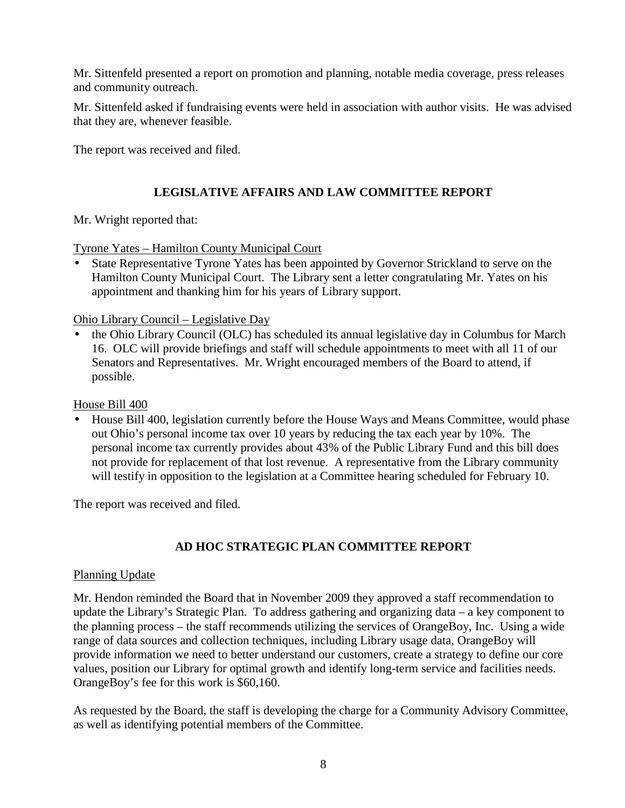Mr. Sittenfeld presented a report on promotion and planning, notable media coverage, press releases and community outreach.

Mr. Sittenfeld asked if fundraising events were held in association with author visits. He was advised that they are, whenever feasible.

The report was received and filed.

# **LEGISLATIVE AFFAIRS AND LAW COMMITTEE REPORT**

Mr. Wright reported that:

Tyrone Yates – Hamilton County Municipal Court

• State Representative Tyrone Yates has been appointed by Governor Strickland to serve on the Hamilton County Municipal Court. The Library sent a letter congratulating Mr. Yates on his appointment and thanking him for his years of Library support.

Ohio Library Council – Legislative Day

• the Ohio Library Council (OLC) has scheduled its annual legislative day in Columbus for March 16. OLC will provide briefings and staff will schedule appointments to meet with all 11 of our Senators and Representatives. Mr. Wright encouraged members of the Board to attend, if possible.

House Bill 400

• House Bill 400, legislation currently before the House Ways and Means Committee, would phase out Ohio's personal income tax over 10 years by reducing the tax each year by 10%. The personal income tax currently provides about 43% of the Public Library Fund and this bill does not provide for replacement of that lost revenue. A representative from the Library community will testify in opposition to the legislation at a Committee hearing scheduled for February 10.

The report was received and filed.

# **AD HOC STRATEGIC PLAN COMMITTEE REPORT**

#### Planning Update

Mr. Hendon reminded the Board that in November 2009 they approved a staff recommendation to update the Library's Strategic Plan. To address gathering and organizing data – a key component to the planning process – the staff recommends utilizing the services of OrangeBoy, Inc. Using a wide range of data sources and collection techniques, including Library usage data, OrangeBoy will provide information we need to better understand our customers, create a strategy to define our core values, position our Library for optimal growth and identify long-term service and facilities needs. OrangeBoy's fee for this work is \$60,160.

As requested by the Board, the staff is developing the charge for a Community Advisory Committee, as well as identifying potential members of the Committee.